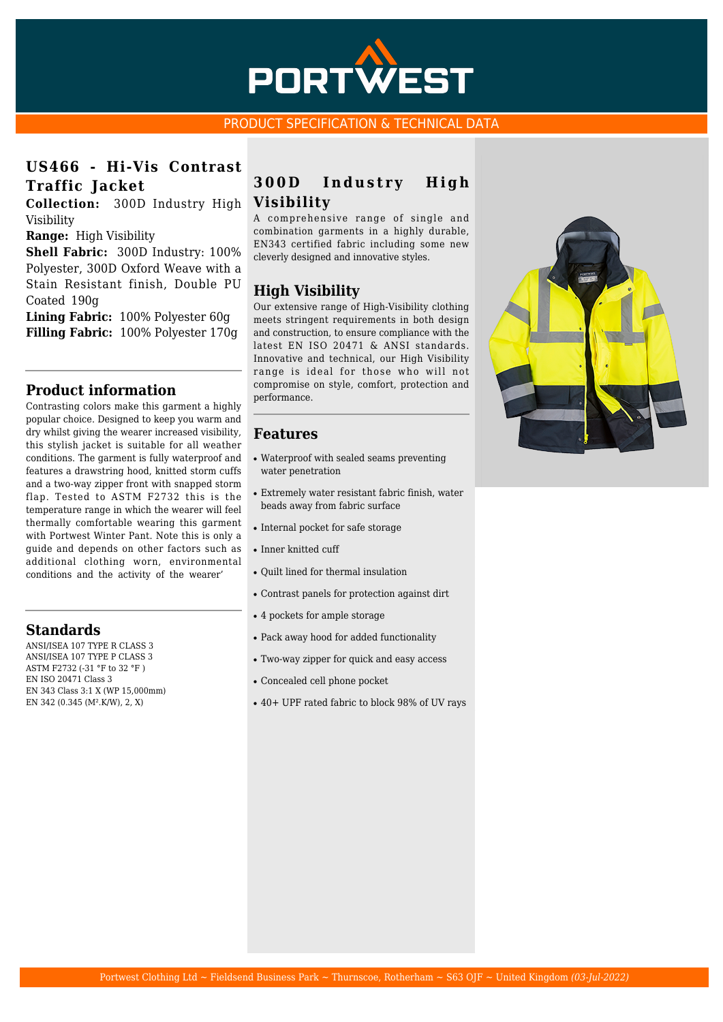

#### PRODUCT SPECIFICATION & TECHNICAL DATA

## **US466 - Hi-Vis Contrast Traffic Jacket**

**Collection:** 300D Industry High Visibility

**Range:** High Visibility

**Shell Fabric:** 300D Industry: 100% Polyester, 300D Oxford Weave with a Stain Resistant finish, Double PU Coated 190g

**Lining Fabric:** 100% Polyester 60g **Filling Fabric:** 100% Polyester 170g

#### **Product information**

Contrasting colors make this garment a highly popular choice. Designed to keep you warm and dry whilst giving the wearer increased visibility, this stylish jacket is suitable for all weather conditions. The garment is fully waterproof and features a drawstring hood, knitted storm cuffs and a two-way zipper front with snapped storm flap. Tested to ASTM F2732 this is the temperature range in which the wearer will feel thermally comfortable wearing this garment with Portwest Winter Pant. Note this is only a guide and depends on other factors such as additional clothing worn, environmental conditions and the activity of the wearer'

### **Standards**

ANSI/ISEA 107 TYPE R CLASS 3 ANSI/ISEA 107 TYPE P CLASS 3 ASTM F2732 (-31 °F to 32 °F ) EN ISO 20471 Class 3 EN 343 Class 3:1 X (WP 15,000mm) EN 342 (0.345 (M².K/W), 2, X)

## **300D Industry High Visibility**

A comprehensive range of single and combination garments in a highly durable, EN343 certified fabric including some new cleverly designed and innovative styles.

## **High Visibility**

Our extensive range of High-Visibility clothing meets stringent requirements in both design and construction, to ensure compliance with the latest EN ISO 20471 & ANSI standards. Innovative and technical, our High Visibility range is ideal for those who will not compromise on style, comfort, protection and performance.

#### **Features**

- Waterproof with sealed seams preventing water penetration
- Extremely water resistant fabric finish, water beads away from fabric surface
- Internal pocket for safe storage
- Inner knitted cuff
- Quilt lined for thermal insulation
- Contrast panels for protection against dirt
- 4 pockets for ample storage
- Pack away hood for added functionality
- Two-way zipper for quick and easy access
- Concealed cell phone pocket
- 40+ UPF rated fabric to block 98% of UV rays